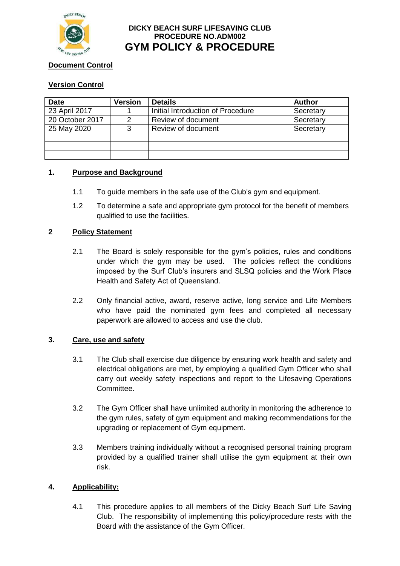

## **Document Control**

## **Version Control**

| <b>Date</b>     | <b>Version</b> | <b>Details</b>                    | <b>Author</b> |
|-----------------|----------------|-----------------------------------|---------------|
| 23 April 2017   |                | Initial Introduction of Procedure | Secretary     |
| 20 October 2017 |                | Review of document                | Secretary     |
| 25 May 2020     | 3              | Review of document                | Secretary     |
|                 |                |                                   |               |
|                 |                |                                   |               |
|                 |                |                                   |               |

### **1. Purpose and Background**

- 1.1 To guide members in the safe use of the Club's gym and equipment.
- 1.2 To determine a safe and appropriate gym protocol for the benefit of members qualified to use the facilities.

### **2 Policy Statement**

- 2.1 The Board is solely responsible for the gym's policies, rules and conditions under which the gym may be used. The policies reflect the conditions imposed by the Surf Club's insurers and SLSQ policies and the Work Place Health and Safety Act of Queensland.
- 2.2 Only financial active, award, reserve active, long service and Life Members who have paid the nominated gym fees and completed all necessary paperwork are allowed to access and use the club.

#### **3. Care, use and safety**

- 3.1 The Club shall exercise due diligence by ensuring work health and safety and electrical obligations are met, by employing a qualified Gym Officer who shall carry out weekly safety inspections and report to the Lifesaving Operations **Committee.**
- 3.2 The Gym Officer shall have unlimited authority in monitoring the adherence to the gym rules, safety of gym equipment and making recommendations for the upgrading or replacement of Gym equipment.
- 3.3 Members training individually without a recognised personal training program provided by a qualified trainer shall utilise the gym equipment at their own risk.

### **4. Applicability:**

4.1 This procedure applies to all members of the Dicky Beach Surf Life Saving Club. The responsibility of implementing this policy/procedure rests with the Board with the assistance of the Gym Officer.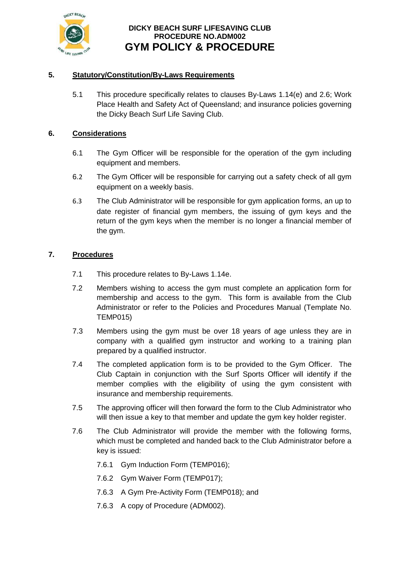

### **5. Statutory/Constitution/By-Laws Requirements**

5.1 This procedure specifically relates to clauses By-Laws 1.14(e) and 2.6; Work Place Health and Safety Act of Queensland; and insurance policies governing the Dicky Beach Surf Life Saving Club.

#### **6. Considerations**

- 6.1 The Gym Officer will be responsible for the operation of the gym including equipment and members.
- 6.2 The Gym Officer will be responsible for carrying out a safety check of all gym equipment on a weekly basis.
- 6.3 The Club Administrator will be responsible for gym application forms, an up to date register of financial gym members, the issuing of gym keys and the return of the gym keys when the member is no longer a financial member of the gym.

### **7. Procedures**

- 7.1 This procedure relates to By-Laws 1.14e.
- 7.2 Members wishing to access the gym must complete an application form for membership and access to the gym. This form is available from the Club Administrator or refer to the Policies and Procedures Manual (Template No. TEMP015)
- 7.3 Members using the gym must be over 18 years of age unless they are in company with a qualified gym instructor and working to a training plan prepared by a qualified instructor.
- 7.4 The completed application form is to be provided to the Gym Officer. The Club Captain in conjunction with the Surf Sports Officer will identify if the member complies with the eligibility of using the gym consistent with insurance and membership requirements.
- 7.5 The approving officer will then forward the form to the Club Administrator who will then issue a key to that member and update the gym key holder register.
- 7.6 The Club Administrator will provide the member with the following forms, which must be completed and handed back to the Club Administrator before a key is issued:
	- 7.6.1 Gym Induction Form (TEMP016);
	- 7.6.2 Gym Waiver Form (TEMP017);
	- 7.6.3 A Gym Pre-Activity Form (TEMP018); and
	- 7.6.3 A copy of Procedure (ADM002).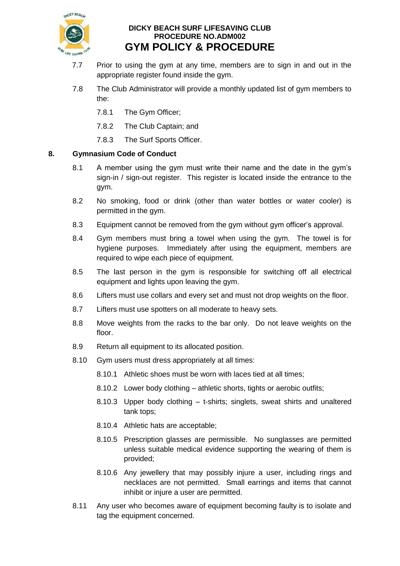

- 7.7 Prior to using the gym at any time, members are to sign in and out in the appropriate register found inside the gym.
- 7.8 The Club Administrator will provide a monthly updated list of gym members to the:
	- 7.8.1 The Gym Officer;
	- 7.8.2 The Club Captain; and
	- 7.8.3 The Surf Sports Officer.

### **8. Gymnasium Code of Conduct**

- 8.1 A member using the gym must write their name and the date in the gym's sign-in / sign-out register. This register is located inside the entrance to the gym.
- 8.2 No smoking, food or drink (other than water bottles or water cooler) is permitted in the gym.
- 8.3 Equipment cannot be removed from the gym without gym officer's approval.
- 8.4 Gym members must bring a towel when using the gym. The towel is for hygiene purposes. Immediately after using the equipment, members are required to wipe each piece of equipment.
- 8.5 The last person in the gym is responsible for switching off all electrical equipment and lights upon leaving the gym.
- 8.6 Lifters must use collars and every set and must not drop weights on the floor.
- 8.7 Lifters must use spotters on all moderate to heavy sets.
- 8.8 Move weights from the racks to the bar only. Do not leave weights on the floor.
- 8.9 Return all equipment to its allocated position.
- 8.10 Gym users must dress appropriately at all times:
	- 8.10.1 Athletic shoes must be worn with laces tied at all times;
	- 8.10.2 Lower body clothing athletic shorts, tights or aerobic outfits;
	- 8.10.3 Upper body clothing t-shirts; singlets, sweat shirts and unaltered tank tops;
	- 8.10.4 Athletic hats are acceptable;
	- 8.10.5 Prescription glasses are permissible. No sunglasses are permitted unless suitable medical evidence supporting the wearing of them is provided;
	- 8.10.6 Any jewellery that may possibly injure a user, including rings and necklaces are not permitted. Small earrings and items that cannot inhibit or injure a user are permitted.
- 8.11 Any user who becomes aware of equipment becoming faulty is to isolate and tag the equipment concerned.